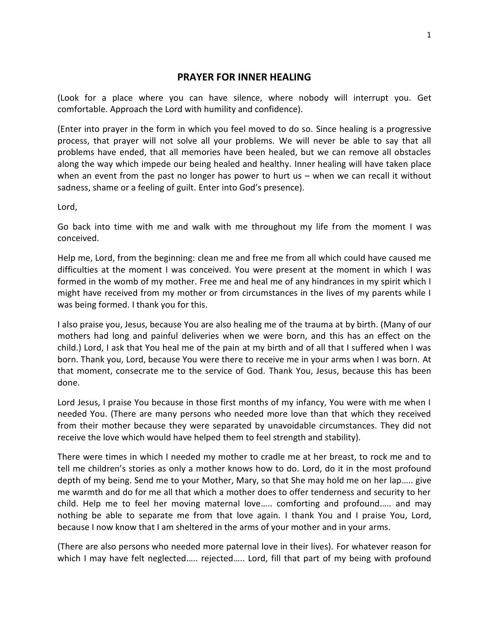## **PRAYER FOR INNER HEALING**

(Look for a place where you can have silence, where nobody will interrupt you. Get comfortable. Approach the Lord with humility and confidence).

(Enter into prayer in the form in which you feel moved to do so. Since healing is a progressive process, that prayer will not solve all your problems. We will never be able to say that all problems have ended, that all memories have been healed, but we can remove all obstacles along the way which impede our being healed and healthy. Inner healing will have taken place when an event from the past no longer has power to hurt us – when we can recall it without sadness, shame or a feeling of guilt. Enter into God's presence).

Lord,

Go back into time with me and walk with me throughout my life from the moment I was conceived.

Help me, Lord, from the beginning: clean me and free me from all which could have caused me difficulties at the moment I was conceived. You were present at the moment in which I was formed in the womb of my mother. Free me and heal me of any hindrances in my spirit which I might have received from my mother or from circumstances in the lives of my parents while I was being formed. I thank you for this.

I also praise you, Jesus, because You are also healing me of the trauma at by birth. (Many of our mothers had long and painful deliveries when we were born, and this has an effect on the child.) Lord, I ask that You heal me of the pain at my birth and of all that I suffered when I was born. Thank you, Lord, because You were there to receive me in your arms when I was born. At that moment, consecrate me to the service of God. Thank You, Jesus, because this has been done.

Lord Jesus, I praise You because in those first months of my infancy, You were with me when I needed You. (There are many persons who needed more love than that which they received from their mother because they were separated by unavoidable circumstances. They did not receive the love which would have helped them to feel strength and stability).

There were times in which I needed my mother to cradle me at her breast, to rock me and to tell me children's stories as only a mother knows how to do. Lord, do it in the most profound depth of my being. Send me to your Mother, Mary, so that She may hold me on her lap….. give me warmth and do for me all that which a mother does to offer tenderness and security to her child. Help me to feel her moving maternal love….. comforting and profound….. and may nothing be able to separate me from that love again. I thank You and I praise You, Lord, because I now know that I am sheltered in the arms of your mother and in your arms.

(There are also persons who needed more paternal love in their lives). For whatever reason for which I may have felt neglected..... rejected..... Lord, fill that part of my being with profound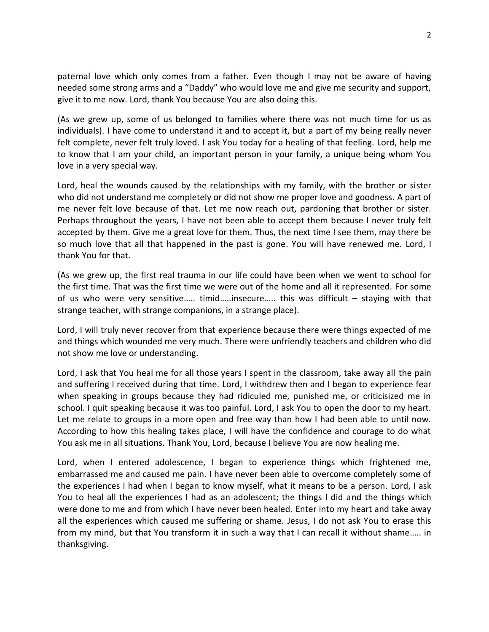paternal love which only comes from a father. Even though I may not be aware of having needed some strong arms and a "Daddy" who would love me and give me security and support, give it to me now. Lord, thank You because You are also doing this.

(As we grew up, some of us belonged to families where there was not much time for us as individuals). I have come to understand it and to accept it, but a part of my being really never felt complete, never felt truly loved. I ask You today for a healing of that feeling. Lord, help me to know that I am your child, an important person in your family, a unique being whom You love in a very special way.

Lord, heal the wounds caused by the relationships with my family, with the brother or sister who did not understand me completely or did not show me proper love and goodness. A part of me never felt love because of that. Let me now reach out, pardoning that brother or sister. Perhaps throughout the years, I have not been able to accept them because I never truly felt accepted by them. Give me a great love for them. Thus, the next time I see them, may there be so much love that all that happened in the past is gone. You will have renewed me. Lord, I thank You for that.

(As we grew up, the first real trauma in our life could have been when we went to school for the first time. That was the first time we were out of the home and all it represented. For some of us who were very sensitive….. timid…..insecure….. this was difficult – staying with that strange teacher, with strange companions, in a strange place).

Lord, I will truly never recover from that experience because there were things expected of me and things which wounded me very much. There were unfriendly teachers and children who did not show me love or understanding.

Lord, I ask that You heal me for all those years I spent in the classroom, take away all the pain and suffering I received during that time. Lord, I withdrew then and I began to experience fear when speaking in groups because they had ridiculed me, punished me, or criticisized me in school. I quit speaking because it was too painful. Lord, I ask You to open the door to my heart. Let me relate to groups in a more open and free way than how I had been able to until now. According to how this healing takes place, I will have the confidence and courage to do what You ask me in all situations. Thank You, Lord, because I believe You are now healing me.

Lord, when I entered adolescence, I began to experience things which frightened me, embarrassed me and caused me pain. I have never been able to overcome completely some of the experiences I had when I began to know myself, what it means to be a person. Lord, I ask You to heal all the experiences I had as an adolescent; the things I did and the things which were done to me and from which I have never been healed. Enter into my heart and take away all the experiences which caused me suffering or shame. Jesus, I do not ask You to erase this from my mind, but that You transform it in such a way that I can recall it without shame….. in thanksgiving.